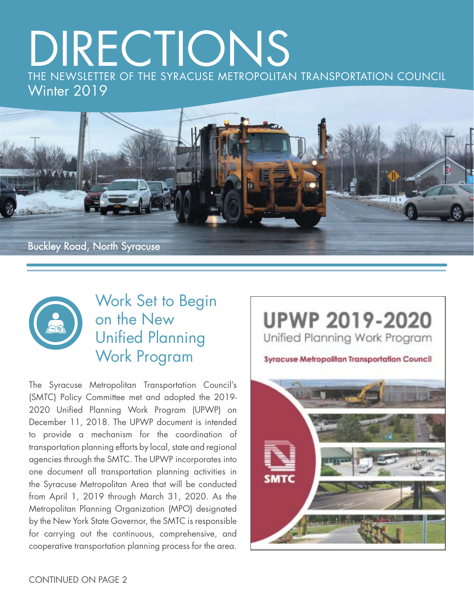# DIRECTIONS THE NEWSLETTER OF THE SYRACUSE METROPOLITAN TRANSPORTATION COUNCIL





#### Work Set to Begin on the New **Unified Planning** Work Program

The Syracuse Metropolitan Transportation Council's (SMTC) Policy Committee met and adopted the 2019- 2020 Unified Planning Work Program (UPWP) on December 11, 2018. The UPWP document is intended to provide a mechanism for the coordination of transportation planning efforts by local, state and regional agencies through the SMTC. The UPWP incorporates into one document all transportation planning activities in the Syracuse Metropolitan Area that will be conducted from April 1, 2019 through March 31, 2020. As the Metropolitan Planning Organization (MPO) designated by the New York State Governor, the SMTC is responsible for carrying out the continuous, comprehensive, and cooperative transportation planning process for the area.

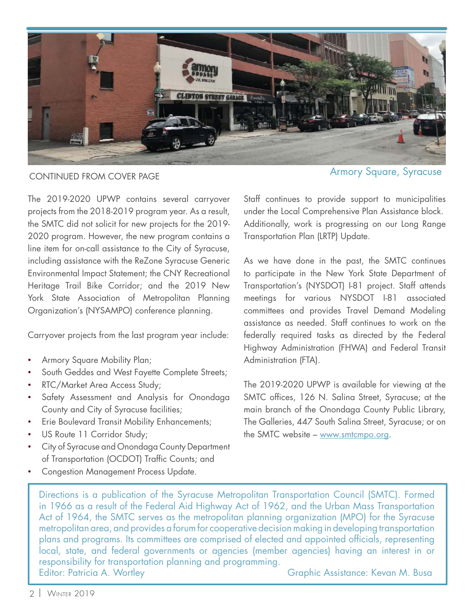

The 2019-2020 UPWP contains several carryover projects from the 2018-2019 program year. As a result, the SMTC did not solicit for new projects for the 2019- 2020 program. However, the new program contains a line item for on-call assistance to the City of Syracuse, including assistance with the ReZone Syracuse Generic Environmental Impact Statement; the CNY Recreational Heritage Trail Bike Corridor; and the 2019 New York State Association of Metropolitan Planning Organization's (NYSAMPO) conference planning.

Carryover projects from the last program year include:

- Armory Square Mobility Plan;
- South Geddes and West Fayette Complete Streets;
- RTC/Market Area Access Study;
- Safety Assessment and Analysis for Onondaga County and City of Syracuse facilities;
- Erie Boulevard Transit Mobility Enhancements;
- US Route 11 Corridor Study;
- City of Syracuse and Onondaga County Department of Transportation (OCDOT) Traffic Counts; and
- Congestion Management Process Update.

CONTINUED FROM COVER PAGE And the state of the syracuse of the Syracuse Armory Square, Syracuse

Staff continues to provide support to municipalities under the Local Comprehensive Plan Assistance block. Additionally, work is progressing on our Long Range Transportation Plan (LRTP) Update.

As we have done in the past, the SMTC continues to participate in the New York State Department of Transportation's (NYSDOT) I-81 project. Staff attends meetings for various NYSDOT I-81 associated committees and provides Travel Demand Modeling assistance as needed. Staff continues to work on the federally required tasks as directed by the Federal Highway Administration (FHWA) and Federal Transit Administration (FTA).

The 2019-2020 UPWP is available for viewing at the SMTC offices, 126 N. Salina Street, Syracuse; at the main branch of the Onondaga County Public Library, The Galleries, 447 South Salina Street, Syracuse; or on the SMTC website – www.smtcmpo.org.

Directions is a publication of the Syracuse Metropolitan Transportation Council (SMTC). Formed in 1966 as a result of the Federal Aid Highway Act of 1962, and the Urban Mass Transportation Act of 1964, the SMTC serves as the metropolitan planning organization (MPO) for the Syracuse metropolitan area, and provides a forum for cooperative decision making in developing transportation plans and programs. Its committees are comprised of elected and appointed officials, representing local, state, and federal governments or agencies (member agencies) having an interest in or responsibility for transportation planning and programming. Editor: Patricia A. Wortley Christian Communication Craphic Assistance: Kevan M. Busa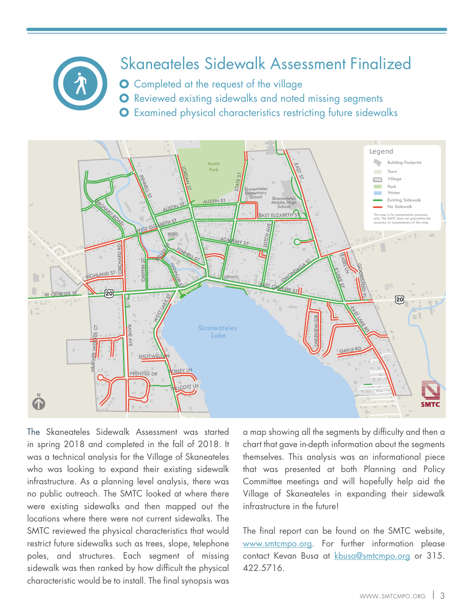

## Skaneateles Sidewalk Assessment Finalized

**O** Completed at the request of the village

**O** Reviewed existing sidewalks and noted missing segments

Examined physical characteristics restricting future sidewalks



The [Skaneateles Sidewalk Assessment](http://www.smtcmpo.org/docs/reports/Skaneateles_Sidewalk_Assessment_Memo_with_Figures.pdf) was started in spring 2018 and completed in the fall of 2018. It was a technical analysis for the Village of Skaneateles who was looking to expand their existing sidewalk infrastructure. As a planning level analysis, there was no public outreach. The SMTC looked at where there were existing sidewalks and then mapped out the locations where there were not current sidewalks. The SMTC reviewed the physical characteristics that would restrict future sidewalks such as trees, slope, telephone poles, and structures. Each segment of missing sidewalk was then ranked by how difficult the physical characteristic would be to install. The final synopsis was

a map showing all the segments by difficulty and then a chart that gave in-depth information about the segments themselves. This analysis was an informational piece that was presented at both Planning and Policy Committee meetings and will hopefully help aid the Village of Skaneateles in expanding their sidewalk infrastructure in the future!

The final report can be found on the SMTC website, www.smtcmpo.org. For further information please contact Kevan Busa at kbusa@smtcmpo.org or 315. 422.5716.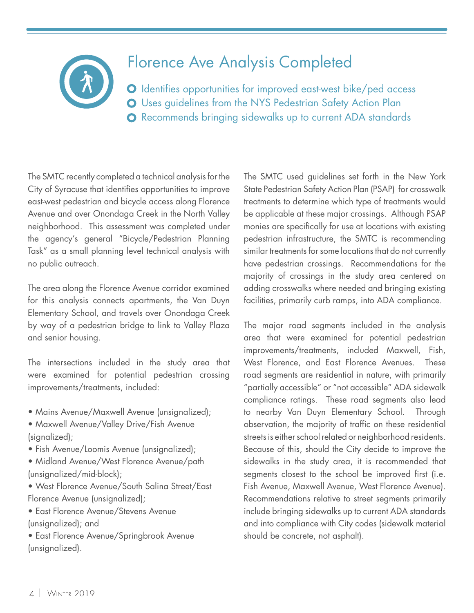

#### Florence Ave Analysis Completed

O Identifies opportunities for improved east-west bike/ped access Uses guidelines from the NYS Pedestrian Safety Action Plan Recommends bringing sidewalks up to current ADA standards

The SMTC recently completed a technical analysis for the City of Syracuse that identifies opportunities to improve [east-west pedestrian and bicycle access along Florence](http://www.smtcmpo.org/docs/reports/Florence_Ave_FINALMemo_12-14-18wAPP.pdf) Avenue and over Onondaga Creek in the North Valley neighborhood. This assessment was completed under the agency's general "Bicycle/Pedestrian Planning Task" as a small planning level technical analysis with no public outreach.

The area along the Florence Avenue corridor examined for this analysis connects apartments, the Van Duyn Elementary School, and travels over Onondaga Creek by way of a pedestrian bridge to link to Valley Plaza and senior housing.

The intersections included in the study area that were examined for potential pedestrian crossing improvements/treatments, included:

- Mains Avenue/Maxwell Avenue (unsignalized);
- Maxwell Avenue/Valley Drive/Fish Avenue (signalized);
- Fish Avenue/Loomis Avenue (unsignalized);
- Midland Avenue/West Florence Avenue/path (unsignalized/mid-block);
- West Florence Avenue/South Salina Street/East Florence Avenue (unsignalized);
- East Florence Avenue/Stevens Avenue (unsignalized); and
- East Florence Avenue/Springbrook Avenue (unsignalized).

The SMTC used guidelines set forth in the New York State Pedestrian Safety Action Plan (PSAP) for crosswalk treatments to determine which type of treatments would be applicable at these major crossings. Although PSAP monies are specifically for use at locations with existing pedestrian infrastructure, the SMTC is recommending similar treatments for some locations that do not currently have pedestrian crossings. Recommendations for the majority of crossings in the study area centered on adding crosswalks where needed and bringing existing facilities, primarily curb ramps, into ADA compliance.

The major road segments included in the analysis area that were examined for potential pedestrian improvements/treatments, included Maxwell, Fish, West Florence, and East Florence Avenues. These road segments are residential in nature, with primarily "partially accessible" or "not accessible" ADA sidewalk compliance ratings. These road segments also lead to nearby Van Duyn Elementary School. Through observation, the majority of traffic on these residential streets is either school related or neighborhood residents. Because of this, should the City decide to improve the sidewalks in the study area, it is recommended that segments closest to the school be improved first (i.e. Fish Avenue, Maxwell Avenue, West Florence Avenue). Recommendations relative to street segments primarily include bringing sidewalks up to current ADA standards and into compliance with City codes (sidewalk material should be concrete, not asphalt).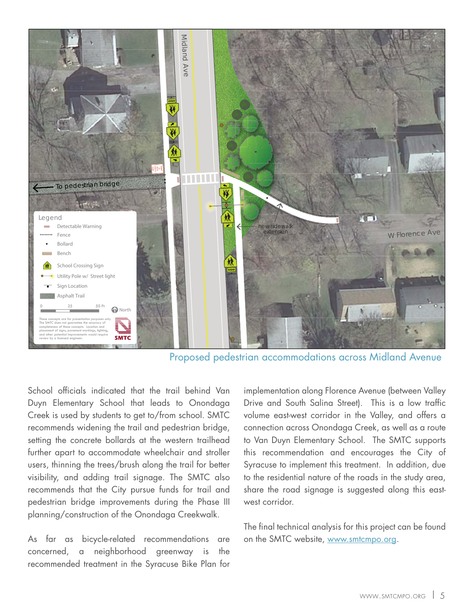

Proposed pedestrian accommodations across Midland Avenue

School officials indicated that the trail behind Van Duyn Elementary School that leads to Onondaga Creek is used by students to get to/from school. SMTC recommends widening the trail and pedestrian bridge, setting the concrete bollards at the western trailhead further apart to accommodate wheelchair and stroller users, thinning the trees/brush along the trail for better visibility, and adding trail signage. The SMTC also recommends that the City pursue funds for trail and pedestrian bridge improvements during the Phase III planning/construction of the Onondaga Creekwalk.

As far as bicycle-related recommendations are concerned, a neighborhood greenway is the recommended treatment in the Syracuse Bike Plan for

implementation along Florence Avenue (between Valley Drive and South Salina Street). This is a low traffic volume east-west corridor in the Valley, and offers a connection across Onondaga Creek, as well as a route to Van Duyn Elementary School. The SMTC supports this recommendation and encourages the City of Syracuse to implement this treatment. In addition, due to the residential nature of the roads in the study area, share the road signage is suggested along this eastwest corridor.

The final technical analysis for this project can be found on the SMTC website, www.smtcmpo.org.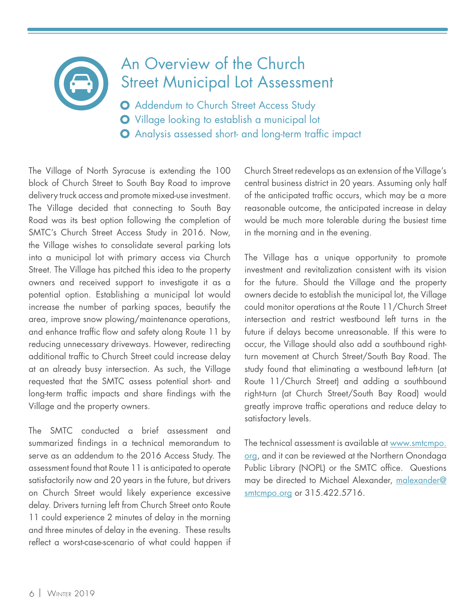## An Overview of the Church [Street Municipal Lot Assessment](http://www.smtcmpo.org/docs/reports/Church_Street_Municipal_Lot_Memo_12-11-18.pdf)

**O** Addendum to Church Street Access Study **O** Village looking to establish a municipal lot **O** Analysis assessed short- and long-term traffic impact

The Village of North Syracuse is extending the 100 block of Church Street to South Bay Road to improve delivery truck access and promote mixed-use investment. The Village decided that connecting to South Bay Road was its best option following the completion of SMTC's [Church Street Access Study in 2016](http://www.smtcmpo.org/docs/reports/Church_Street_Study_Final_Report.pdf). Now, the Village wishes to consolidate several parking lots into a municipal lot with primary access via Church Street. The Village has pitched this idea to the property owners and received support to investigate it as a potential option. Establishing a municipal lot would increase the number of parking spaces, beautify the area, improve snow plowing/maintenance operations, and enhance traffic flow and safety along Route 11 by reducing unnecessary driveways. However, redirecting additional traffic to Church Street could increase delay at an already busy intersection. As such, the Village requested that the SMTC assess potential short- and long-term traffic impacts and share findings with the Village and the property owners.

The SMTC conducted a brief assessment and summarized findings in a technical memorandum to serve as an addendum to the 2016 Access Study. The assessment found that Route 11 is anticipated to operate satisfactorily now and 20 years in the future, but drivers on Church Street would likely experience excessive delay. Drivers turning left from Church Street onto Route 11 could experience 2 minutes of delay in the morning and three minutes of delay in the evening. These results reflect a worst-case-scenario of what could happen if

Church Street redevelops as an extension of the Village's central business district in 20 years. Assuming only half of the anticipated traffic occurs, which may be a more reasonable outcome, the anticipated increase in delay would be much more tolerable during the busiest time in the morning and in the evening.

The Village has a unique opportunity to promote investment and revitalization consistent with its vision for the future. Should the Village and the property owners decide to establish the municipal lot, the Village could monitor operations at the Route 11/Church Street intersection and restrict westbound left turns in the future if delays become unreasonable. If this were to occur, the Village should also add a southbound rightturn movement at Church Street/South Bay Road. The study found that eliminating a westbound left-turn (at Route 11/Church Street) and adding a southbound right-turn (at Church Street/South Bay Road) would greatly improve traffic operations and reduce delay to satisfactory levels.

The technical assessment is available at www.smtcmpo. org, and it can be reviewed at the Northern Onondaga Public Library (NOPL) or the SMTC office. Questions may be directed to Michael Alexander, malexander@ smtcmpo.org or 315.422.5716.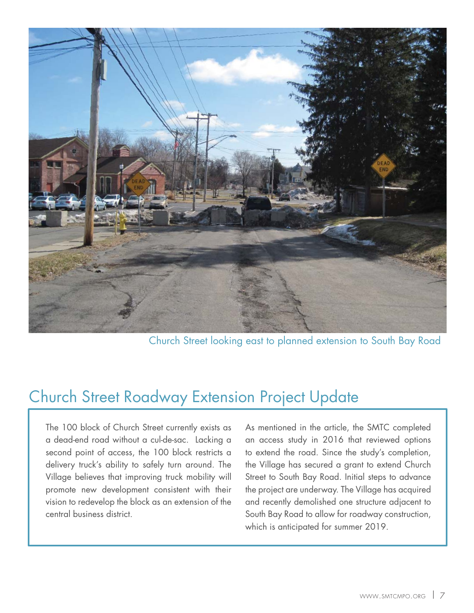

Church Street looking east to planned extension to South Bay Road

#### Church Street Roadway Extension Project Update

The 100 block of Church Street currently exists as a dead-end road without a cul-de-sac. Lacking a second point of access, the 100 block restricts a delivery truck's ability to safely turn around. The Village believes that improving truck mobility will promote new development consistent with their vision to redevelop the block as an extension of the central business district.

As mentioned in the article, the SMTC completed an access study in 2016 that reviewed options to extend the road. Since the study's completion, the Village has secured a grant to extend Church Street to South Bay Road. Initial steps to advance the project are underway. The Village has acquired and recently demolished one structure adjacent to South Bay Road to allow for roadway construction, which is anticipated for summer 2019.